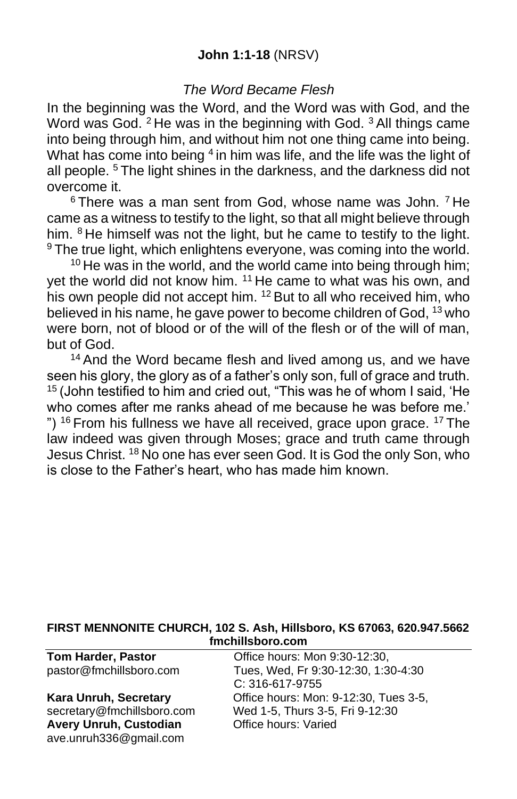## **John 1:1-18** (NRSV)

## *The Word Became Flesh*

In the beginning was the Word, and the Word was with God, and the Word was God. <sup>2</sup> He was in the beginning with God. <sup>3</sup> All things came into being through him, and without him not one thing came into being. What has come into being  $4$  in him was life, and the life was the light of all people. <sup>5</sup> The light shines in the darkness, and the darkness did not overcome it.

 $6$  There was a man sent from God, whose name was John.  $7$  He came as a witness to testify to the light, so that all might believe through him. <sup>8</sup> He himself was not the light, but he came to testify to the light. <sup>9</sup> The true light, which enlightens everyone, was coming into the world.

 $10$  He was in the world, and the world came into being through him; vet the world did not know him. <sup>11</sup> He came to what was his own, and his own people did not accept him. <sup>12</sup> But to all who received him, who believed in his name, he gave power to become children of God, <sup>13</sup> who were born, not of blood or of the will of the flesh or of the will of man, but of God.

<sup>14</sup> And the Word became flesh and lived among us, and we have seen his glory, the glory as of a father's only son, full of grace and truth. <sup>15</sup> (John testified to him and cried out, "This was he of whom I said, 'He who comes after me ranks ahead of me because he was before me.' ")  $16$  From his fullness we have all received, grace upon grace.  $17$  The law indeed was given through Moses; grace and truth came through Jesus Christ. <sup>18</sup> No one has ever seen God. It is God the only Son, who is close to the Father's heart, who has made him known.

#### **FIRST MENNONITE CHURCH, 102 S. Ash, Hillsboro, KS 67063, 620.947.5662 fmchillsboro.com**

**Avery Unruh, Custodian** ave.unruh336@gmail.com

**Tom Harder, Pastor Conservery Conservery Conservery Program** Office hours: Mon 9:30-12:30. pastor@fmchillsboro.com Tues, Wed, Fr 9:30-12:30, 1:30-4:30 C: 316-617-9755 **Kara Unruh, Secretary Charager Conservance Conservance Conservance Conservance Secretary** Office hours: Mon: 9-12:30, Tues 3-5, secretary@fmchillsboro.com Wed 1-5, Thurs 3-5, Fri 9-12:30<br>**Avery Unruh, Custodian** Office hours: Varied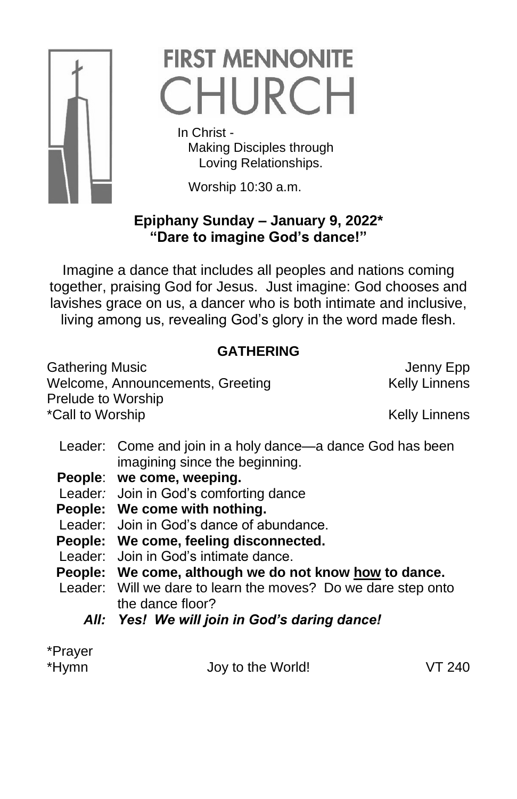

# **FIRST MENNONITE** CHURCH

 In Christ - Making Disciples through Loving Relationships.

Worship 10:30 a.m.

# **Epiphany Sunday – January 9, 2022\* "Dare to imagine God's dance!"**

Imagine a dance that includes all peoples and nations coming together, praising God for Jesus. Just imagine: God chooses and lavishes grace on us, a dancer who is both intimate and inclusive, living among us, revealing God's glory in the word made flesh.

# **GATHERING**

Gathering Music **Gathering Music Jenny Epp** Welcome, Announcements, Greeting Kelly Linnens Prelude to Worship \*Call to Worship News 2008 and 2009 and 2009 and 2009 and 2009 and 2009 and 2009 and 2009 and 2009 and 2009 and 2009 and 2009 and 2009 and 2009 and 2009 and 2009 and 2009 and 2009 and 2009 and 2009 and 2009 and 2009 and 20

- Leader: Come and join in a holy dance—a dance God has been imagining since the beginning.
- **People**: **we come, weeping.**
- Leader*:* Join in God's comforting dance
- **People: We come with nothing.**
- Leader: Join in God's dance of abundance.
- **People: We come, feeling disconnected.**
- Leader: Join in God's intimate dance.
- **People: We come, although we do not know how to dance.**
- Leader: Will we dare to learn the moves? Do we dare step onto the dance floor?
	- *All: Yes! We will join in God's daring dance!*

\*Prayer

\*Hymn Joy to the World! VT 240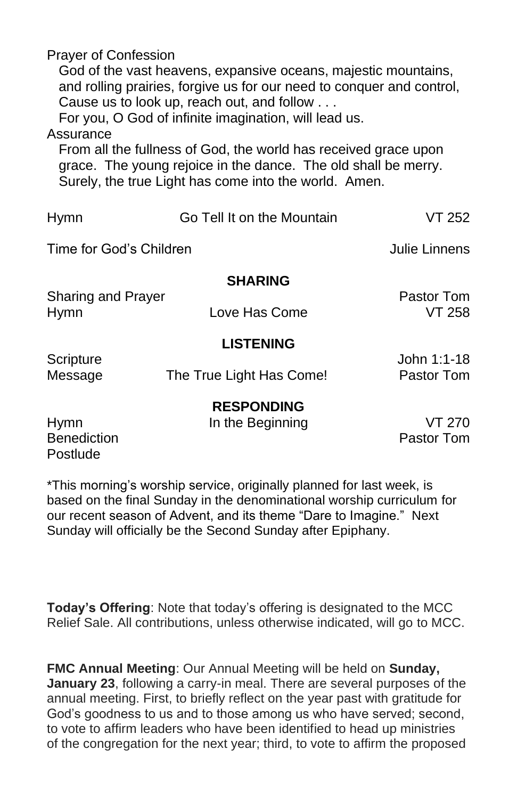Prayer of Confession God of the vast heavens, expansive oceans, majestic mountains, and rolling prairies, forgive us for our need to conquer and control,

Cause us to look up, reach out, and follow . . .

For you, O God of infinite imagination, will lead us.

### Assurance

From all the fullness of God, the world has received grace upon grace. The young rejoice in the dance. The old shall be merry. Surely, the true Light has come into the world. Amen.

| <b>Hymn</b>                                   | Go Tell It on the Mountain            | VT 252                      |
|-----------------------------------------------|---------------------------------------|-----------------------------|
| Time for God's Children                       |                                       | Julie Linnens               |
|                                               | <b>SHARING</b>                        |                             |
| <b>Sharing and Prayer</b><br><b>Hymn</b>      | Love Has Come                         | Pastor Tom<br>VT 258        |
|                                               | <b>LISTENING</b>                      |                             |
| Scripture<br>Message                          | The True Light Has Come!              | John 1:1-18<br>Pastor Tom   |
| <b>Hymn</b><br><b>Benediction</b><br>Postlude | <b>RESPONDING</b><br>In the Beginning | <b>VT 270</b><br>Pastor Tom |

\*This morning's worship service, originally planned for last week, is based on the final Sunday in the denominational worship curriculum for our recent season of Advent, and its theme "Dare to Imagine." Next Sunday will officially be the Second Sunday after Epiphany.

**Today's Offering**: Note that today's offering is designated to the MCC Relief Sale. All contributions, unless otherwise indicated, will go to MCC.

**FMC Annual Meeting**: Our Annual Meeting will be held on **Sunday, January 23**, following a carry-in meal. There are several purposes of the annual meeting. First, to briefly reflect on the year past with gratitude for God's goodness to us and to those among us who have served; second, to vote to affirm leaders who have been identified to head up ministries of the congregation for the next year; third, to vote to affirm the proposed